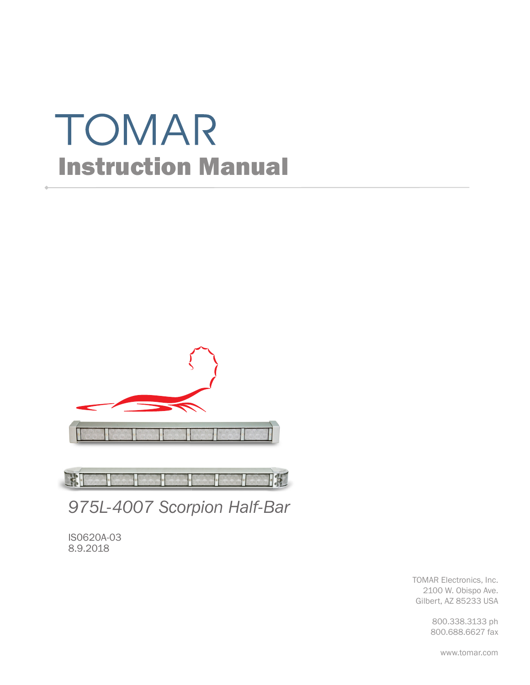# TOMAR Instruction Manual



JR I **TK** 

*975L-4007 Scorpion Half-Bar*

IS0620A-03 8.9.2018

> TOMAR Electronics, Inc. 2100 W. Obispo Ave. Gilbert, AZ 85233 USA

> > 800.338.3133 ph 800.688.6627 fax

> > > www.tomar.com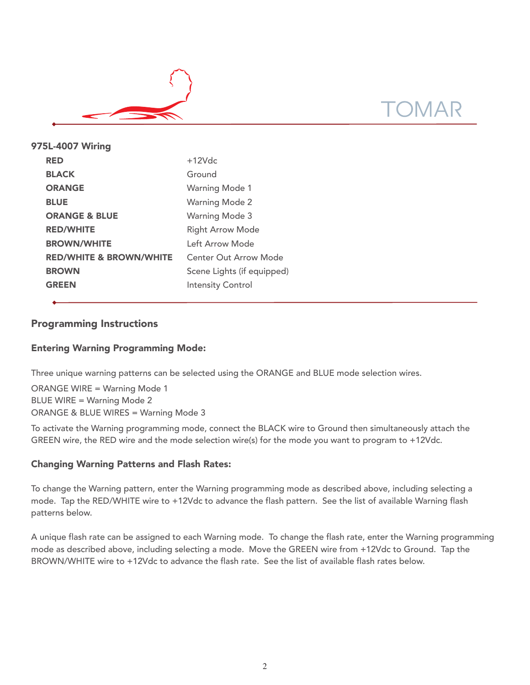

| 975L-4007 Wiring                   |                              |
|------------------------------------|------------------------------|
| <b>RED</b>                         | $+12Vdc$                     |
| <b>BLACK</b>                       | Ground                       |
| <b>ORANGE</b>                      | <b>Warning Mode 1</b>        |
| <b>BLUE</b>                        | <b>Warning Mode 2</b>        |
| <b>ORANGE &amp; BLUE</b>           | <b>Warning Mode 3</b>        |
| <b>RED/WHITE</b>                   | <b>Right Arrow Mode</b>      |
| <b>BROWN/WHITE</b>                 | Left Arrow Mode              |
| <b>RED/WHITE &amp; BROWN/WHITE</b> | <b>Center Out Arrow Mode</b> |
| <b>BROWN</b>                       | Scene Lights (if equipped)   |
| <b>GREEN</b>                       | <b>Intensity Control</b>     |
|                                    |                              |

# Programming Instructions

# Entering Warning Programming Mode:

Three unique warning patterns can be selected using the ORANGE and BLUE mode selection wires.

ORANGE WIRE = Warning Mode 1 BLUE WIRE = Warning Mode 2 ORANGE & BLUE WIRES = Warning Mode 3

To activate the Warning programming mode, connect the BLACK wire to Ground then simultaneously attach the GREEN wire, the RED wire and the mode selection wire(s) for the mode you want to program to +12Vdc.

## Changing Warning Patterns and Flash Rates:

To change the Warning pattern, enter the Warning programming mode as described above, including selecting a mode. Tap the RED/WHITE wire to +12Vdc to advance the flash pattern. See the list of available Warning flash patterns below.

A unique flash rate can be assigned to each Warning mode. To change the flash rate, enter the Warning programming mode as described above, including selecting a mode. Move the GREEN wire from +12Vdc to Ground. Tap the BROWN/WHITE wire to +12Vdc to advance the flash rate. See the list of available flash rates below.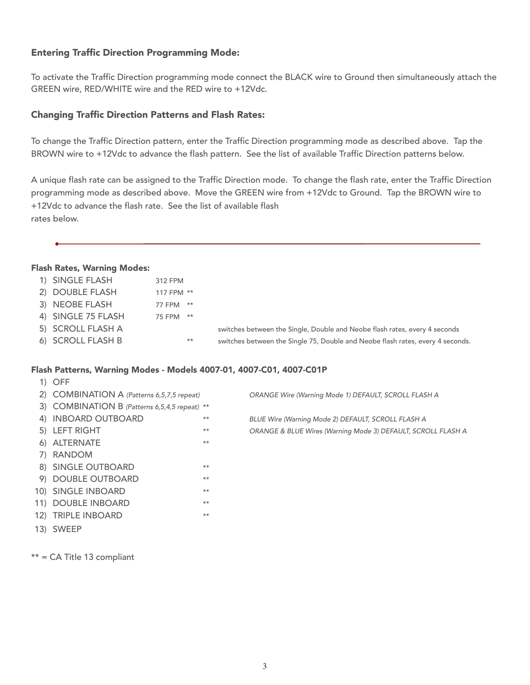# Entering Traffic Direction Programming Mode:

To activate the Traffic Direction programming mode connect the BLACK wire to Ground then simultaneously attach the GREEN wire, RED/WHITE wire and the RED wire to +12Vdc.

### Changing Traffic Direction Patterns and Flash Rates:

To change the Traffic Direction pattern, enter the Traffic Direction programming mode as described above. Tap the BROWN wire to +12Vdc to advance the flash pattern. See the list of available Traffic Direction patterns below.

A unique flash rate can be assigned to the Traffic Direction mode. To change the flash rate, enter the Traffic Direction programming mode as described above. Move the GREEN wire from +12Vdc to Ground. Tap the BROWN wire to +12Vdc to advance the flash rate. See the list of available flash rates below.

#### Flash Rates, Warning Modes:

| 1) SINGLE FLASH    | 312 FPM    |                                                                                |
|--------------------|------------|--------------------------------------------------------------------------------|
| 2) DOUBLE FLASH    | 117 FPM ** |                                                                                |
| 3) NEOBE FLASH     | 77 FPM **  |                                                                                |
| 4) SINGLE 75 FLASH | 75 FPM **  |                                                                                |
| 5) SCROLL FLASH A  |            | switches between the Single, Double and Neobe flash rates, every 4 seconds     |
| 6) SCROLL FLASH B  | $***$      | switches between the Single 75, Double and Neobe flash rates, every 4 seconds. |
|                    |            |                                                                                |

#### Flash Patterns, Warning Modes - Models 4007-01, 4007-C01, 4007-C01P

| $1)$ OFF                                      |       |                                                              |
|-----------------------------------------------|-------|--------------------------------------------------------------|
| 2) COMBINATION A (Patterns 6,5,7,5 repeat)    |       | ORANGE Wire (Warning Mode 1) DEFAULT, SCROLL FLASH A         |
| 3) COMBINATION B (Patterns 6,5,4,5 repeat) ** |       |                                                              |
| 4) INBOARD OUTBOARD                           | $***$ | BLUE Wire (Warning Mode 2) DEFAULT, SCROLL FLASH A           |
| 5) LEFT RIGHT                                 | $***$ | ORANGE & BLUE Wires (Warning Mode 3) DEFAULT, SCROLL FLASH A |
| 6) ALTERNATE                                  | $***$ |                                                              |
| 7) RANDOM                                     |       |                                                              |
| 8) SINGLE OUTBOARD                            | $***$ |                                                              |
| 9) DOUBLE OUTBOARD                            | $***$ |                                                              |
| 10) SINGLE INBOARD                            | $***$ |                                                              |
| 11) DOUBLE INBOARD                            | $***$ |                                                              |
| 12) TRIPLE INBOARD                            | $***$ |                                                              |
| 13) SWEEP                                     |       |                                                              |

\*\* = CA Title 13 compliant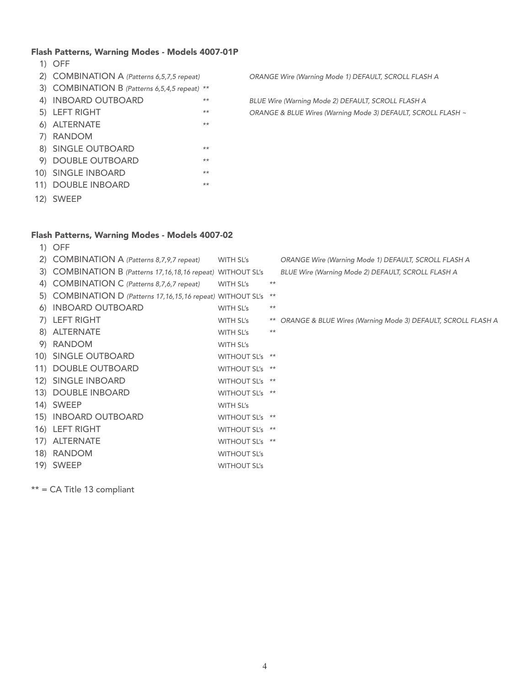#### Flash Patterns, Warning Modes - Models 4007-01P

- 1) OFF
- 
- 3) COMBINATION B (Patterns 6,5,4,5 repeat) \*\*
- 
- 
- 6) ALTERNATE \*\*
- 7) RANDOM
- 8) SINGLE OUTBOARD \*\*
- 9) DOUBLE OUTBOARD \*\*
- 10) SINGLE INBOARD \*\*
- 11) DOUBLE INBOARD \*\*
- 12) SWEEP

#### Flash Patterns, Warning Modes - Models 4007-02

1) OFF 2) COMBINATION A (Patterns 8,7,9,7 repeat) WITH SL's ORANGE Wire (Warning Mode 1) DEFAULT, SCROLL FLASH A 3) COMBINATION B (Patterns 17,16,18,16 repeat) WITHOUT SL's BLUE Wire (Warning Mode 2) DEFAULT, SCROLL FLASH A 4) COMBINATION C (Patterns 8,7,6,7 repeat) WITH SL's \*\* 5) COMBINATION D (Patterns 17,16,15,16 repeat) WITHOUT SL's \*\* 6) INBOARD OUTBOARD WITH SL's \*\* 7) LEFT RIGHT WITH SL's \*\* ORANGE & BLUE Wires (Warning Mode 3) DEFAULT, SCROLL FLASH A 8) ALTERNATE WITH SL's \*\* 9) RANDOM WITH SL's 10) SINGLE OUTBOARD WITHOUT SL's \*\* 11) DOUBLE OUTBOARD WITHOUT SL's \*\* 12) SINGLE INBOARD WITHOUT SL's \*\* 13) DOUBLE INBOARD WITHOUT SL's \*\* 14) SWEEP WITH SL's 15) INBOARD OUTBOARD WITHOUT SL's \*\* 16) LEFT RIGHT WITHOUT SL's \*\* 17) ALTERNATE WITHOUT SL's \*\* 18) RANDOM WITHOUT SL's

19) SWEEP WITHOUT SL's

\*\* = CA Title 13 compliant

2) COMBINATION A (Patterns 6,5,7,5 repeat) ORANGE Wire (Warning Mode 1) DEFAULT, SCROLL FLASH A

4) INBOARD OUTBOARD \*\* BLUE Wire (Warning Mode 2) DEFAULT, SCROLL FLASH A 5) LEFT RIGHT \*\* ORANGE & BLUE Wires (Warning Mode 3) DEFAULT, SCROLL FLASH ~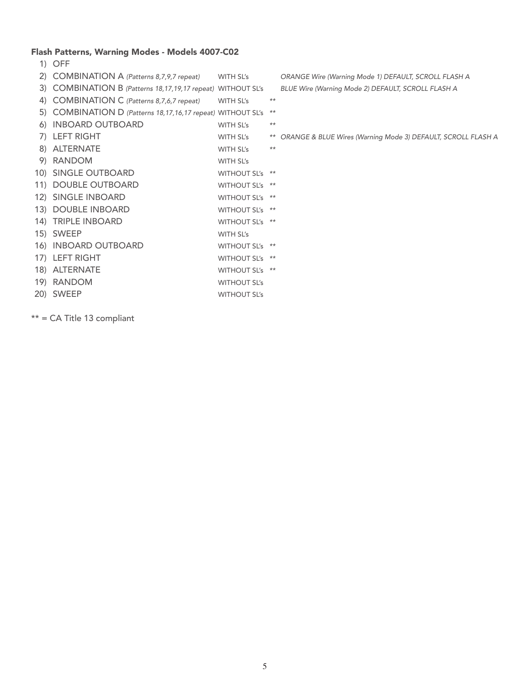#### Flash Patterns, Warning Modes - Models 4007-C02

| 1) | <b>OFF</b>                                                     |                     |       |                                                                 |
|----|----------------------------------------------------------------|---------------------|-------|-----------------------------------------------------------------|
|    | 2) COMBINATION A (Patterns 8,7,9,7 repeat)                     | WITH SL's           |       | ORANGE Wire (Warning Mode 1) DEFAULT, SCROLL FLASH A            |
|    | 3) COMBINATION B (Patterns 18, 17, 19, 17 repeat) WITHOUT SL's |                     |       | BLUE Wire (Warning Mode 2) DEFAULT, SCROLL FLASH A              |
|    | 4) COMBINATION C (Patterns 8,7,6,7 repeat)                     | <b>WITH SL's</b>    | $***$ |                                                                 |
|    | 5) COMBINATION D (Patterns 18, 17, 16, 17 repeat) WITHOUT SL's |                     | $***$ |                                                                 |
|    | 6) INBOARD OUTBOARD                                            | WITH SL's           | $***$ |                                                                 |
|    | 7) LEFT RIGHT                                                  | WITH SL's           |       | ** ORANGE & BLUE Wires (Warning Mode 3) DEFAULT, SCROLL FLASH A |
|    | 8) ALTERNATE                                                   | WITH SL's           | $***$ |                                                                 |
|    | 9) RANDOM                                                      | WITH SL's           |       |                                                                 |
|    | 10) SINGLE OUTBOARD                                            | WITHOUT SL's **     |       |                                                                 |
|    | 11) DOUBLE OUTBOARD                                            | WITHOUT SL's **     |       |                                                                 |
|    | 12) SINGLE INBOARD                                             | WITHOUT SL's **     |       |                                                                 |
|    | 13) DOUBLE INBOARD                                             | WITHOUT SL's **     |       |                                                                 |
|    | 14) TRIPLE INBOARD                                             | WITHOUT SL's **     |       |                                                                 |
|    | 15) SWEEP                                                      | WITH SL's           |       |                                                                 |
|    | 16) INBOARD OUTBOARD                                           | WITHOUT SL's **     |       |                                                                 |
|    | 17) LEFT RIGHT                                                 | WITHOUT SL's **     |       |                                                                 |
|    | 18) ALTERNATE                                                  | WITHOUT SL's **     |       |                                                                 |
|    | 19) RANDOM                                                     | <b>WITHOUT SL's</b> |       |                                                                 |
|    | 20) SWEEP                                                      | <b>WITHOUT SL's</b> |       |                                                                 |
|    |                                                                |                     |       |                                                                 |

\*\* = CA Title 13 compliant